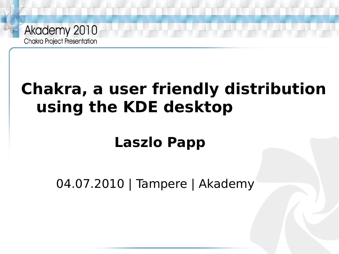

# **Chakra, a user friendly distribution using the KDE desktop**

# **Laszlo Papp**

04.07.2010 | Tampere | Akademy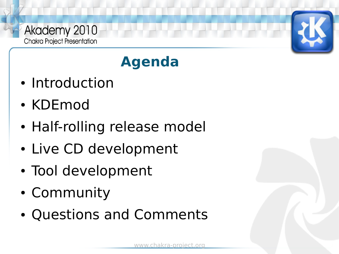



- Introduction
- KDEmod
- Half-rolling release model
- Live CD development
- Tool development
- Community
- Questions and Comments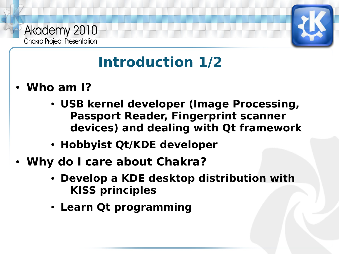

# **Introduction 1/2**

- **Who am I?**
	- **USB kernel developer (Image Processing, Passport Reader, Fingerprint scanner devices) and dealing with Qt framework**
	- **Hobbyist Qt/KDE developer**
- Why do I care about Chakra?
	- **Develop a KDE desktop distribution with KISS principles**
	- **Learn Qt programming**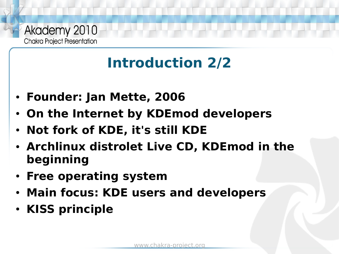

# **Introduction 2/2**

- **Founder: Jan Mette, 2006**
- **On the Internet by KDEmod developers**
- **Not fork of KDE, it's still KDE**
- **Archlinux distrolet Live CD, KDEmod in the beginning**
- **Free operating system**
- **Main focus: KDE users and developers**
- **KISS principle**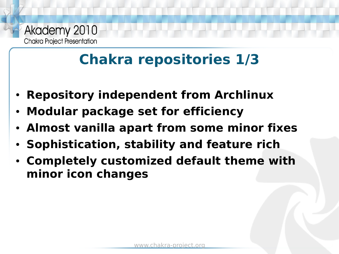# **Chakra repositories 1/3**

- **Repository independent from Archlinux**
- **Modular package set for efficiency**
- **Almost vanilla apart from some minor fixes**
- **Sophistication, stability and feature rich**
- **Completely customized default theme with minor icon changes**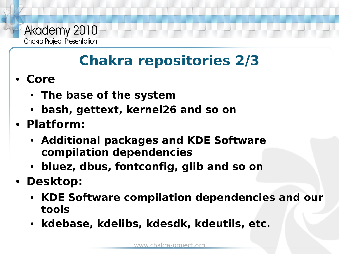# **Chakra repositories 2/3**

- **Core** 
	- **The base of the system**
	- **bash, gettext, kernel26 and so on**
- **Platform:** 
	- **Additional packages and KDE Software compilation dependencies**
	- **bluez, dbus, fontconfig, glib and so on**
- **Desktop:** 
	- **KDE Software compilation dependencies and our tools**
	- **kdebase, kdelibs, kdesdk, kdeutils, etc.**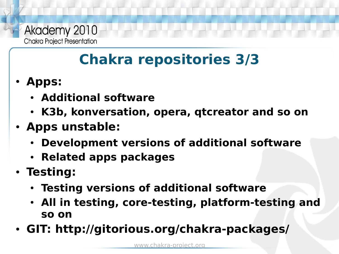# **Chakra repositories 3/3**

- **Apps:** 
	- **Additional software**
	- **K3b, konversation, opera, qtcreator and so on**
- **Apps unstable:** 
	- **Development versions of additional software**
	- **Related apps packages**
- **Testing:** 
	- **Testing versions of additional software**
	- **All in testing, core-testing, platform-testing and so on**
- **GIT: http://gitorious.org/chakra-packages/**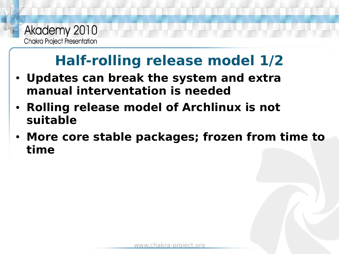

# **Half-rolling release model 1/2**

- **Updates can break the system and extra manual interventation is needed**
- **Rolling release model of Archlinux is not suitable**
- More core stable packages; frozen from time to **time**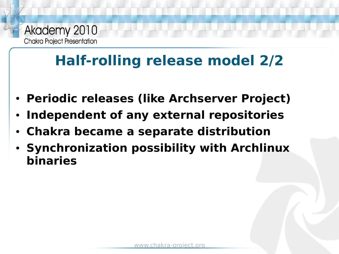# **Half-rolling release model 2/2**

- **Periodic releases (like Archserver Project)**
- **Independent of any external repositories**
- **Chakra became a separate distribution**
- **Synchronization possibility with Archlinux binaries**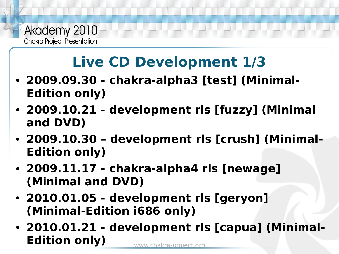

# **Live CD Development 1/3**

- **2009.09.30 chakra-alpha3 [test] (Minimal-Edition only)**
- **2009.10.21 development rls [fuzzy] (Minimal and DVD)**
- 2009.10.30 development rls [crush] (Minimal-**Edition only)**
- **2009.11.17 chakra-alpha4 rls [newage] (Minimal and DVD)**
- **2010.01.05 development rls [geryon] (Minimal-Edition i686 only)**
- www.chakra-project.org • 2010.01.21 - development rls [capua] (Minimal-**Edition only)**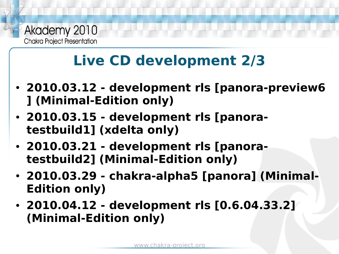

# **Live CD development 2/3**

- **2010.03.12 development rls [panora-preview6 ] (Minimal-Edition only)**
- **2010.03.15 development rls [panoratestbuild1] (xdelta only)**
- **2010.03.21 development rls [panoratestbuild2] (Minimal-Edition only)**
- **2010.03.29 chakra-alpha5 [panora] (Minimal-Edition only)**
- **2010.04.12 development rls [0.6.04.33.2] (Minimal-Edition only)**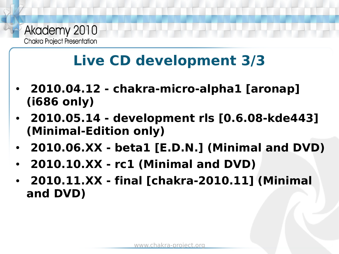

# **Live CD development 3/3**

- **2010.04.12 chakra-micro-alpha1 [aronap] (i686 only)**
- **2010.05.14 development rls [0.6.08-kde443] (Minimal-Edition only)**
- **2010.06.XX beta1 [E.D.N.] (Minimal and DVD)**
- **2010.10.XX rc1 (Minimal and DVD)**
- **2010.11.XX final [chakra-2010.11] (Minimal and DVD)**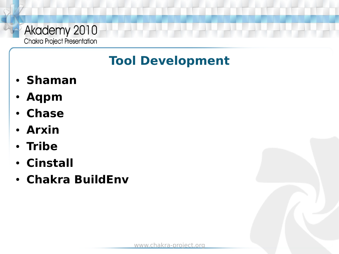## **Tool Development**

- **Shaman**
- **Aqpm**
- **Chase**
- **Arxin**
- **Tribe**
- **Cinstall**
- **Chakra BuildEnv**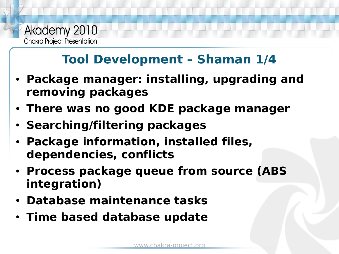### **Tool Development – Shaman 1/4**

- **Package manager: installing, upgrading and removing packages**
- **There was no good KDE package manager**
- **Searching/filtering packages**
- **Package information, installed files, dependencies, conflicts**
- **Process package queue from source (ABS integration)**
- **Database maintenance tasks**
- **Time based database update**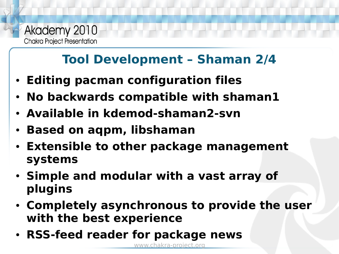## **Tool Development – Shaman 2/4**

- **Editing pacman configuration files**
- No backwards compatible with shaman1
- **Available in kdemod-shaman2-svn**
- **Based on aqpm, libshaman**
- **Extensible to other package management systems**
- **Simple and modular with a vast array of plugins**
- **Completely asynchronous to provide the user with the best experience**
- **RSS-feed reader for package news**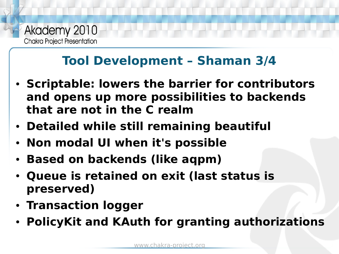## **Tool Development – Shaman 3/4**

- **Scriptable: lowers the barrier for contributors and opens up more possibilities to backends that are not in the C realm**
- **Detailed while still remaining beautiful**
- **Non modal UI when it's possible**
- **Based on backends (like aqpm)**
- **Queue is retained on exit (last status is preserved)**
- **Transaction logger**
- **PolicyKit and KAuth for granting authorizations**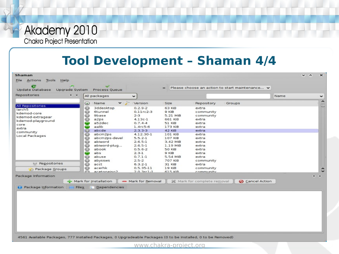**Tool Development – Shaman 4/4**

| Shaman                                                                                                                                         |                                                                                                                                                                                                                                                                                                                                                                                                                 |                                                                                                                                                                                                                        |                                                                                                                                                                     |                                                                                                                                                  |                                                |      | $\sim$ $\sim$ | $\mathbf{x}$                  |
|------------------------------------------------------------------------------------------------------------------------------------------------|-----------------------------------------------------------------------------------------------------------------------------------------------------------------------------------------------------------------------------------------------------------------------------------------------------------------------------------------------------------------------------------------------------------------|------------------------------------------------------------------------------------------------------------------------------------------------------------------------------------------------------------------------|---------------------------------------------------------------------------------------------------------------------------------------------------------------------|--------------------------------------------------------------------------------------------------------------------------------------------------|------------------------------------------------|------|---------------|-------------------------------|
| File Actions Tools<br>Help                                                                                                                     |                                                                                                                                                                                                                                                                                                                                                                                                                 |                                                                                                                                                                                                                        |                                                                                                                                                                     |                                                                                                                                                  |                                                |      |               |                               |
| œ<br>Upgrade System<br>Update Database                                                                                                         | Process Queue                                                                                                                                                                                                                                                                                                                                                                                                   |                                                                                                                                                                                                                        | 35                                                                                                                                                                  |                                                                                                                                                  | Please choose an action to start maintenance v |      |               |                               |
| <b>Repositories</b><br>$0 \times$                                                                                                              | All packages                                                                                                                                                                                                                                                                                                                                                                                                    | $\check{ }$                                                                                                                                                                                                            |                                                                                                                                                                     |                                                                                                                                                  |                                                | Name |               | $\check{~}$                   |
| All Repositories<br>larch <sub>5</sub><br>kdemod-core<br>kdemod-extragear<br>kdemod-playground<br>core<br>extra<br>community<br>Local Packages | $\vee$ . $\vee$<br>Name<br>$\circ$<br>$\circledcirc$<br>3ddesktop<br>$_{\odot}$<br>6tunnel<br>$\circledcirc$<br>9base<br>$_{\odot}$<br>a2ps<br>a52dec<br><b>CO</b><br>aalib<br>$\blacksquare$<br>abcde<br>(52)<br>abcm2ps<br>$\circledcirc$<br>abcm2ps-devel<br>$\circledcirc$<br>$\circledcirc$<br>abiword<br>$_{\circ}$<br>abiword-plug<br>$_{\circ}$<br>abook<br>abs<br>$\bullet$<br>$\circledcirc$<br>abuse | Version<br>$0.2.9 - 2$<br>$0.11$ rc $2-3$<br>$2 - 3$<br>$4.13c-1$<br>$0, 7, 4-4$<br>$1.4$ rc $5-6$<br>$2.3.3 - 3$<br>$4.12.30 - 1$<br>$5.5.2-1$<br>$2.6.5-1$<br>$2.6.5 - 1$<br>$0.5.6 - 2$<br>$2.3 - 1$<br>$0.7.1 - 1$ | Size<br>63 KiB<br>9 KiB<br>5.21 MiB<br>661 KiB<br>51 KiB<br>173 KiB<br>42 KiB<br>101 KiB<br>107 KiB<br>3.42 MiB<br>$1.19$ MiB<br><b>50 KIB</b><br>9 KiB<br>5.54 MiB | Repository<br>extra<br>community<br>community<br>extra<br>extra<br>extra<br>extra<br>extra<br>extra<br>extra<br>extra<br>extra<br>extra<br>extra | Groups                                         |      |               | $\hat{\phantom{a}}$<br>$\Box$ |
| <b>WE Repositories</b>                                                                                                                         | ŏ<br>abyssws<br>$_{\circ}$<br>acct                                                                                                                                                                                                                                                                                                                                                                              | $2.5 - 2$<br>$6, 3, 2-1$                                                                                                                                                                                               | 707 KiB<br>31 KiB                                                                                                                                                   | community<br>extra                                                                                                                               |                                                |      |               |                               |
| <b>C</b> Package Groups                                                                                                                        | $\circledcirc$<br>acerhk<br>(2, 2)<br>acetoneiso2                                                                                                                                                                                                                                                                                                                                                               | $0.5.35 - 11$<br>$203r-1-1$                                                                                                                                                                                            | $19$ KiB<br>$615$ KiR                                                                                                                                               | community<br>community                                                                                                                           |                                                |      |               | $\hat{\cdot}$                 |
| Package Information<br>Package Information Files I: Dependencies                                                                               | - Mark for Installation                                                                                                                                                                                                                                                                                                                                                                                         | Mark for Removal                                                                                                                                                                                                       |                                                                                                                                                                     | Mark for complete removal                                                                                                                        | Cancel Action                                  |      |               | $\circ$ $x$                   |
| 4561 Available Packages, 777 Installed Packages, 0 Upgradeable Packages (0 to be Installed, 0 to be Removed)                                   |                                                                                                                                                                                                                                                                                                                                                                                                                 |                                                                                                                                                                                                                        |                                                                                                                                                                     |                                                                                                                                                  |                                                |      |               |                               |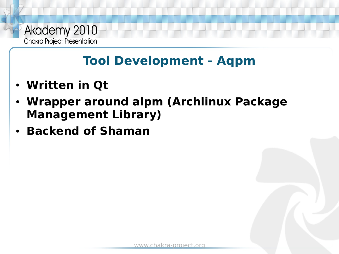## **Tool Development - Aqpm**

- **Written in Qt**
- **Wrapper around alpm (Archlinux Package Management Library)**
- **Backend of Shaman**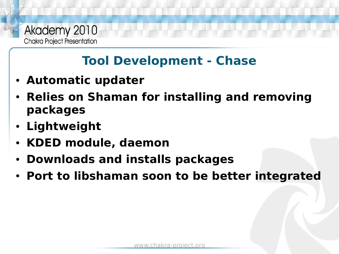## **Tool Development - Chase**

- **Automatic updater**
- **Relies on Shaman for installing and removing packages**
- **Lightweight**
- **KDED module, daemon**
- **Downloads and installs packages**
- **Port to libshaman soon to be better integrated**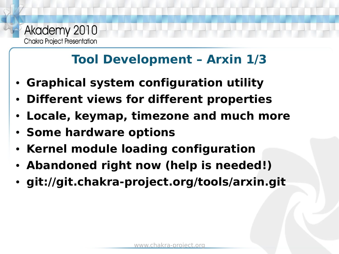### **Tool Development – Arxin 1/3**

- **Graphical system configuration utility**
- **Different views for different properties**
- **Locale, keymap, timezone and much more**
- **Some hardware options**
- **Kernel module loading configuration**
- **Abandoned right now (help is needed!)**
- **git://git.chakra-project.org/tools/arxin.git**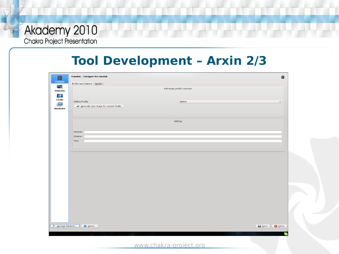**Tool Development – Arxin 2/3**

| E                 | Ramdisk - Configure the ramdisk         |                              | 自             |
|-------------------|-----------------------------------------|------------------------------|---------------|
| Ramdisk<br>$\geq$ | Profile and Options   Hooks             |                              |               |
| <b>Daemons</b>    |                                         | Mkinitopio profile selection |               |
| $\bigcircled{y}$  |                                         |                              |               |
| Locale            | Editing Profile:                        | default                      | $\check{~}$   |
| L<br>Hardware     | Generate cpio Image for current Profile |                              |               |
|                   |                                         |                              |               |
|                   |                                         |                              |               |
|                   |                                         | Settings                     |               |
|                   |                                         |                              |               |
|                   | Modules<br>Binaries                     |                              |               |
|                   | Files                                   |                              |               |
|                   |                                         |                              |               |
|                   |                                         |                              |               |
|                   |                                         |                              |               |
|                   |                                         |                              |               |
|                   |                                         |                              |               |
|                   |                                         |                              |               |
|                   |                                         |                              |               |
|                   |                                         |                              |               |
|                   |                                         |                              |               |
|                   |                                         |                              |               |
|                   |                                         |                              |               |
|                   |                                         |                              |               |
|                   |                                         |                              |               |
|                   |                                         |                              |               |
|                   |                                         |                              |               |
| Manage Modules    | <b>B</b> About                          |                              | Save<br>Close |
|                   |                                         |                              |               |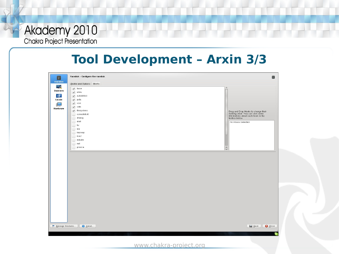### **Tool Development – Arxin 3/3**

| E                                                                   | Ramdisk - Configure the ramdisk                                                                                                                                                                                                                                                                   | 自                                                                                                                                                                                             |
|---------------------------------------------------------------------|---------------------------------------------------------------------------------------------------------------------------------------------------------------------------------------------------------------------------------------------------------------------------------------------------|-----------------------------------------------------------------------------------------------------------------------------------------------------------------------------------------------|
| Ramdisk                                                             | Profile and Options   Hooks                                                                                                                                                                                                                                                                       |                                                                                                                                                                                               |
| $\rightarrow$<br><b>Daemons</b><br>$\bigcirc$<br>Locale<br>Hardware | $\vee$ base<br>$\vee$ udev<br>$\checkmark$ autodetect<br>$\sqrt{ }$ pata<br>$\vee$ scsi<br>$\vee$ sata<br>$\checkmark$ filesystems<br>$\Box$ consolefont<br>$\Box$ dmesg<br>$\Box$ dsdt<br>$\cup$ fw<br>$\Box$ ide<br>$\Box$ keymap<br>$\cup$ lvm2<br>$\Box$ mdadm<br>$\Box$ net<br>$\Box$ pcmcia | $\hat{\phantom{a}}$<br>Drag and Drop Hooks to change their<br>running order. You can view some<br>informations about each hook in the<br>textbox below.<br>No Hooks Selected<br>$\hat{\cdot}$ |
| Manage Modules                                                      | <b>O</b> About                                                                                                                                                                                                                                                                                    | $\Box$ Save<br><b>O</b> Close                                                                                                                                                                 |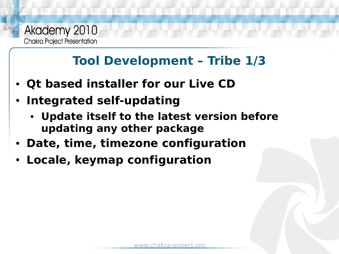## **Tool Development – Tribe 1/3**

- **Qt based installer for our Live CD**
- **Integrated self-updating**
	- **Update itself to the latest version before updating any other package**
- **Date, time, timezone configuration**
- **Locale, keymap configuration**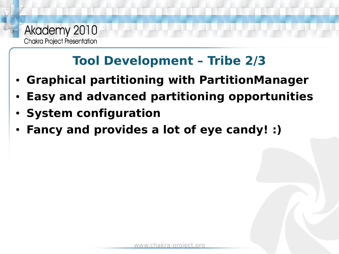## **Tool Development – Tribe 2/3**

- **Graphical partitioning with PartitionManager**
- **Easy and advanced partitioning opportunities**
- **System configuration**
- **Fancy and provides a lot of eye candy! :)**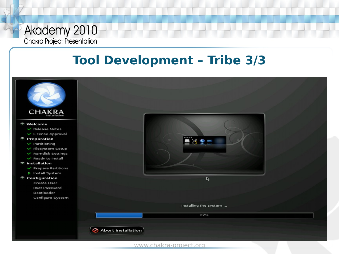### **Tool Development – Tribe 3/3**

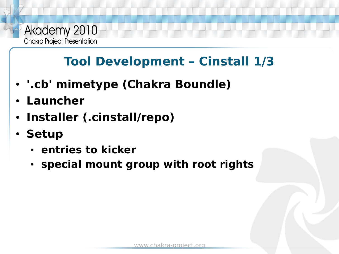## **Tool Development – Cinstall 1/3**

- **'.cb' mimetype (Chakra Boundle)**
- **Launcher**
- **Installer (.cinstall/repo)**
- **Setup** 
	- **entries to kicker**
	- **special mount group with root rights**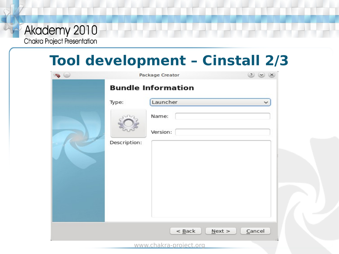# Akademy 2010

Chakra Project Presentation

## **Tool development – Cinstall 2/3**

| $\bullet$ $\circ$ |              | Package Creator                       | 200         |
|-------------------|--------------|---------------------------------------|-------------|
|                   |              | <b>Bundle Information</b>             |             |
|                   | Type:        | Launcher                              | $\check{~}$ |
|                   |              | Name:                                 |             |
|                   |              | Version:                              |             |
|                   | Description: |                                       |             |
|                   |              |                                       |             |
|                   |              |                                       |             |
|                   |              |                                       |             |
|                   |              |                                       |             |
|                   |              |                                       |             |
|                   |              | $< \underline{\mathsf{Back}}$<br>Next | Cancel      |
|                   |              | www.chakra-project.org                |             |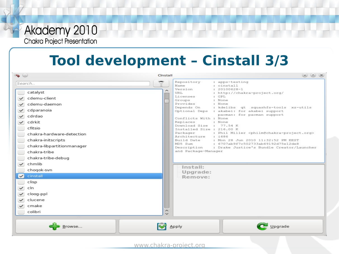### Akademy 2010

Chakra Project Presentation

# **Tool development – Cinstall 3/3**

| $\bullet$ $\circ$                                                                                                                                                                                                                                                                                                                                                                                                   | Cinstall                                                                                                                                                                                                                                                                                                                                                   | $\circledcirc$ $\circledcirc$                                                                                                                                                                                                                                                                                                                                                                                                                         |
|---------------------------------------------------------------------------------------------------------------------------------------------------------------------------------------------------------------------------------------------------------------------------------------------------------------------------------------------------------------------------------------------------------------------|------------------------------------------------------------------------------------------------------------------------------------------------------------------------------------------------------------------------------------------------------------------------------------------------------------------------------------------------------------|-------------------------------------------------------------------------------------------------------------------------------------------------------------------------------------------------------------------------------------------------------------------------------------------------------------------------------------------------------------------------------------------------------------------------------------------------------|
| Search<br>catalyst<br>cdemu-client<br>cdemu-daemon<br>cdparanoia<br>$\checkmark$<br>cdrdao<br>$\checkmark$<br>$\checkmark$ cdrkit<br>cfitsio<br>chakra-hardware-detection<br>chakra-initscripts<br>chakra-libpartitionmanager<br>chakra-tribe<br>chakra-tribe-debug<br>chmlib<br>$\checkmark$<br>choqok-svn<br>cinstall<br>$\checkmark$<br>clisp<br>cln<br>cloog-ppl<br>clucene<br>$\checkmark$<br>cmake<br>colibri | Repository<br>Name<br>Version<br>URL<br>Licenses<br>Groups<br>Provides<br>Depends On<br>Conflicts With : None<br>Replaces<br>Download Size : 77.54 K<br>Installed Size : 216.00 K<br>Packager<br>Architecture<br>Build Date<br>MD5 Sum<br>Description<br>and Package-Manager<br>Install:<br>Upgrade:<br>Remove:<br>$\widehat{\phantom{a}}$<br>$\checkmark$ | : apps-testing<br>: cinstall<br>: 20100628-1<br>: http://chakra-project.org/<br>: GPL<br>: None<br>: None<br>: kdelibs qt squashfs-tools xz-utils<br>Optional Deps : akabei: for akabei support<br>pacman: for pacman support<br>: None<br>: Phil Miller <philm@chakra-project.org><br/>: 1686<br/>: Mon 28 Jun 2010 11:32:52 PM EEST<br/>: 6707ab9f7c502733ab69192d75e12de8<br/>: Drake Justice's Bundle Creator/Launcher</philm@chakra-project.org> |
| Browse                                                                                                                                                                                                                                                                                                                                                                                                              | Apply                                                                                                                                                                                                                                                                                                                                                      | Upgrade                                                                                                                                                                                                                                                                                                                                                                                                                                               |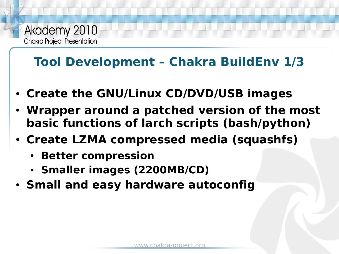## **Tool Development – Chakra BuildEnv 1/3**

- **Create the GNU/Linux CD/DVD/USB images**
- Wrapper around a patched version of the most **basic functions of larch scripts (bash/python)**
- **Create LZMA compressed media (squashfs)**
	- **Better compression**
	- **Smaller images (2200MB/CD)**
- **Small and easy hardware autoconfig**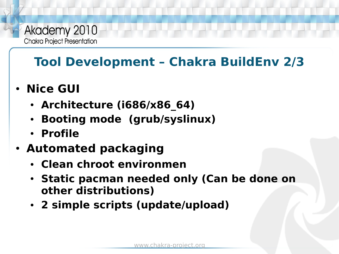## **Tool Development – Chakra BuildEnv 2/3**

- **Nice GUI** 
	- **Architecture (i686/x86\_64)**
	- **Booting mode (grub/syslinux)**
	- **Profile**
- **Automated packaging**
	- **Clean chroot environmen**
	- **Static pacman needed only (Can be done on other distributions)**
	- **2 simple scripts (update/upload)**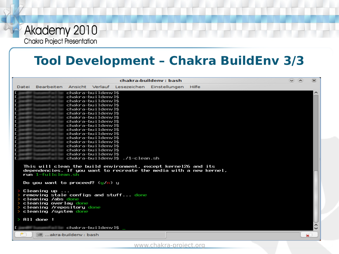### **Tool Development – Chakra BuildEnv 3/3**

| chakra-buildenv: bash |                                                                                                                      |                                                                                                                                                                                                                                         |                                                                                                                                  |                                             |                                                                |                                                                    |   |  |
|-----------------------|----------------------------------------------------------------------------------------------------------------------|-----------------------------------------------------------------------------------------------------------------------------------------------------------------------------------------------------------------------------------------|----------------------------------------------------------------------------------------------------------------------------------|---------------------------------------------|----------------------------------------------------------------|--------------------------------------------------------------------|---|--|
| Datei                 |                                                                                                                      |                                                                                                                                                                                                                                         |                                                                                                                                  |                                             | Bearbeiten Ansicht Verlauf Lesezeichen Einstellungen Hilfe     |                                                                    |   |  |
|                       |                                                                                                                      | chakra-buildenvJ\$<br>$\blacksquare$ chakra-buildenv]\$<br>chakra-buildenv]\$<br>chakra-buildenvJ\$<br>ehakra-buildenv]\$<br>ehakra-buildenv]\$<br>chakra-buildenv]\$<br>chakra-buildenvJ\$<br>chakra-buildenv]\$<br>ehakra-buildenv]\$ | chakra-buildenvJ\$<br>chakra-buildenvJ\$<br>chakra-buildenvl\$<br>chakra-buildenvl\$<br>chakra-buildenvl\$<br>chakra-buildenvl\$ | chakra-buildenvl\$ ./1-clean.sh             |                                                                |                                                                    |   |  |
|                       | run 1-fullclean.sh                                                                                                   |                                                                                                                                                                                                                                         |                                                                                                                                  |                                             | This will clean the build environment, except kernel26 and its | dependencies. If you want to recreate the media with a new kernel, |   |  |
|                       | Do you want to proceed? $(y/n)$ y<br>Cleaning up $\dots$                                                             |                                                                                                                                                                                                                                         |                                                                                                                                  | $\ge$ removing stale configs and stuff done |                                                                |                                                                    |   |  |
|                       | $>$ cleaning /abs done<br>$\geq$ cleaning overlay done<br>$>$ cleaning /repository done<br>$>$ cleaning /system done |                                                                                                                                                                                                                                         |                                                                                                                                  |                                             |                                                                |                                                                    |   |  |
|                       | $>$ All done!                                                                                                        |                                                                                                                                                                                                                                         |                                                                                                                                  |                                             |                                                                |                                                                    |   |  |
|                       |                                                                                                                      | chakra-buildenvl\$                                                                                                                                                                                                                      |                                                                                                                                  |                                             |                                                                |                                                                    |   |  |
|                       | <b>E</b> akra-buildeny : bash                                                                                        |                                                                                                                                                                                                                                         |                                                                                                                                  |                                             |                                                                |                                                                    | × |  |
|                       |                                                                                                                      |                                                                                                                                                                                                                                         |                                                                                                                                  |                                             | www.chakra-project.org                                         |                                                                    |   |  |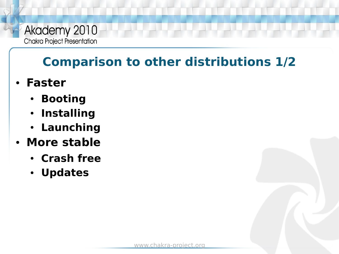## **Comparison to other distributions 1/2**

- **Faster**
	- **Booting**
	- **Installing**
	- **Launching**
- **More stable**
	- **Crash free**
	- **Updates**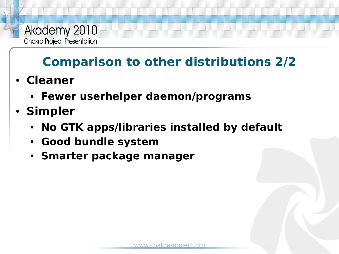## **Comparison to other distributions 2/2**

- **Cleaner**
	- **Fewer userhelper daemon/programs**
- **Simpler**
	- **No GTK apps/libraries installed by default**
	- **Good bundle system**
	- **Smarter package manager**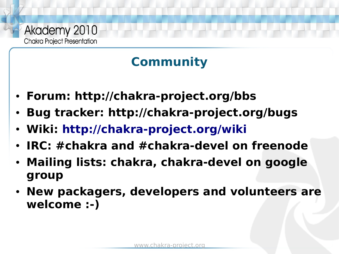

# **Community**

- **Forum: http://chakra-project.org/bbs**
- **Bug tracker: http://chakra-project.org/bugs**
- **Wiki: <http://chakra-project.org/wiki>**
- **IRC: #chakra and #chakra-devel on freenode**
- **Mailing lists: chakra, chakra-devel on google group**
- **New packagers, developers and volunteers are welcome :-)**